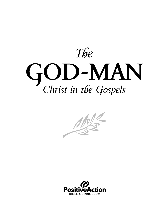



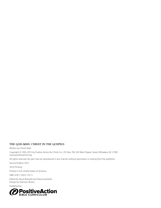#### **THE GOD-MAN: CHRIST IN THE GOSPELS**

Written by Cherie Noel

Copyright © 1993, 2015 by Positive Action for Christ, Inc., P.O. Box 700, 502 West Pippen Street, Whitakers, NC 27891. www.positiveaction.org

All rights reserved. No part may be reproduced in any manner without permission in writing from the publisher.

Second Edition 2015

2016 Printing

Printed in the United States of America

ISBN: 978-1-59557-191-5

Edited by Steve Braswell and David Gambrell Design by Shannon Brown

Published by

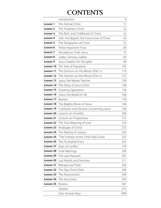# **CONTENTS**

|           | Introduction                               | 4   |
|-----------|--------------------------------------------|-----|
| Lesson 1  | The Eternal Christ                         | 11  |
| Lesson 2  | The Prophetic Christ                       | 22  |
| Lesson 3  | The Birth and Childhood of Christ          | 32  |
| Lesson 4  | John the Baptist, the Forerunner of Christ | 43  |
| Lesson 5  | The Temptation of Christ                   | 53  |
| Lesson 6  | Three Important Firsts                     | 64  |
| Lesson 7  | Nicodemus Finds Jesus                      | 75  |
| Lesson 8  | Judea, Samaria, Galilee                    | 83  |
| Lesson 9  | Jesus Ordains His Disciples                | 94  |
| Lesson 10 | The Year of Popularity                     | 105 |
| Lesson 11 | The Sermon on the Mount (Part 1)           | 116 |
| Lesson 12 | The Sermon on the Mount (Part 2)           | 127 |
| Lesson 13 | Jesus, the Master Teacher                  | 136 |
| Lesson 14 | The Deity of Jesus Christ                  | 146 |
| Lesson 15 | <b>Growing Opposition</b>                  | 156 |
| Lesson 16 | Jesus, the Bread of Life                   | 166 |
| Lesson 17 | Review                                     | 176 |
| Lesson 18 | The Mighty Works of Jesus                  | 184 |
| Lesson 19 | Confusion and Division Concerning Jesus    | 194 |
| Lesson 20 | Lessons on Humility                        | 206 |
| Lesson 21 | Lessons on Forgiveness                     | 215 |
| Lesson 22 | The True Meaning of Love                   | 224 |
| Lesson 23 | Analogies of Christ                        | 235 |
| Lesson 24 | The Raising of Lazarus                     | 245 |
| Lesson 25 | "The Fullness of the Time" Had Come        | 255 |
| Lesson 26 | The Triumphal Entry                        | 267 |
| Lesson 27 | Days of Conflict                           | 278 |
| Lesson 28 | Final Warnings                             | 290 |
| Lesson 29 | The Last Passover                          | 301 |
| Lesson 30 | Last Words and Promises                    | 311 |
| Lesson 31 | Betrayal and Trials                        | 320 |
| Lesson 32 | The Day Christ Died                        | 336 |
| Lesson 33 | The Resurrection                           | 349 |
| Lesson 34 | The Ascension                              | 359 |
| Lesson 35 | Review                                     | 367 |
|           | Quizzes                                    | 373 |
|           | Quiz Answer Keys                           | 409 |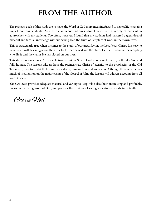# **FROM THE AUTHOR**

The primary goals of this study are to make the Word of God more meaningful and to have a life-changing impact on your students. As a Christian school administrator, I have used a variety of curriculum approaches with my students. Too often, however, I found that my students had mastered a great deal of material and factual knowledge without having seen the truth of Scripture at work in their own lives.

This is particularly true when it comes to the study of our great Savior, the Lord Jesus Christ. It is easy to be satisfied with learning about the miracles He performed and the places He visited—but never accepting who He is and the claims He has placed on our lives.

This study presents Jesus Christ as He is—the unique Son of God who came to Earth, both fully God and fully human. The lessons take us from the preincarnate Christ of eternity to the prophecies of the Old Testament, then to His birth, life, ministry, death, resurrection, and ascension. Although this study focuses much of its attention on the major events of the Gospel of John, the lessons will address accounts from all four Gospels.

*The God-Man* provides adequate material and variety to keep Bible class both interesting and profitable. Focus on the living Word of God, and pray for the privilege of seeing your students walk in its truth.

Cherie Woel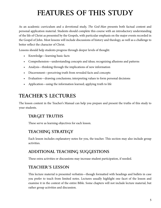# **FEATURES OF THIS STUDY**

As an academic curriculum and a devotional study, *The God-Man* presents both factual content and personal application material. Students should complete this course with an introductory understanding of the life of Christ as presented by the Gospels, with particular emphasis on the major events recorded in the Gospel of John. Most lessons will include discussions of history and theology, as well as a challenge to better reflect the character of Christ.

Lessons should help students progress through deeper levels of thought:

- Knowledge—learning basic facts
- Comprehension—understanding concepts and ideas; recognizing allusions and patterns
- Analysis—thinking through the implications of new information
- Discernment—perceiving truth from revealed facts and concepts
- Evaluation—drawing conclusions; interpreting values to form personal decisions
- Application—using the information learned; applying truth to life

# **TEACHER'S LECTURES**

The lesson content in the Teacher's Manual can help you prepare and present the truths of this study to your students.

### **TARGET TRUTHS**

These serve as learning objectives for each lesson.

## **TEACHING STRATEGY**

Each lesson includes explanatory notes for you, the teacher. This section may also include group activities.

### **ADDITIONAL TEACHING SUGGESTIONS**

These extra activities or discussions may increase student participation, if needed.

### **TEACHER'S LESSON**

This lecture material is presented verbatim—though formatted with headings and bullets in case you prefer to teach from limited notes. Lectures usually highlight one facet of the lesson and examine it in the context of the entire Bible. Some chapters will not include lecture material, but rather group activities and discussion.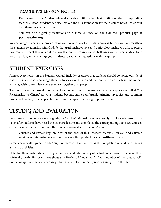### **TEACHER'S LESSON NOTES**

Each lesson in the Student Manual contains a fill-in-the-blank outline of the corresponding teacher's lesson. Students can use this outline as a foundation for their lecture notes, which will help them review for quizzes.

You can find digital presentations with these outlines on the *God-Man* product page at **positiveaction.org**.

We encourage teachers to approach lessons not so much as a fact-finding process, but as a way to strengthen the students' relationship with God. Perfect truth includes love, and perfect love includes truth, so please take care to present this material in a way that both encourages and challenges your students. Make time for discussion, and encourage your students to share their questions with the group.

# **STUDENT EXERCISES**

Almost every lesson in the Student Manual includes exercises that students should complete outside of class. These exercises encourage students to seek God's truth and love on their own. Early in this course, you may wish to complete some exercises together as a group.

The student exercises usually contain at least one section that focuses on personal application, called "My Relationship to Christ." As your students become more comfortable bringing up topics and common problems together, these application sections may spark the best group discussion.

# **TESTING AND EVALUATION**

For courses that require a score or grade, the Teacher's Manual includes a weekly quiz for each lesson, to be taken after students have heard the teacher's lecture and completed the corresponding exercises. Quizzes cover essential themes from both the Teacher's Manual and Student Manual.

Quizzes and answer keys are both at the back of this Teacher's Manual. You can find editable versions of this testing material on the *God-Man* product page at **positiveaction.org**.

Some teachers also grade weekly Scripture memorization, as well as the completion of student exercises and extra activities.

Note that these materials can help you evaluate students' mastery of factual content—not, of course, their spiritual growth. However, throughout this Teacher's Manual, you'll find a number of non-graded selfevaluation quizzes that can encourage students to reflect on their priorities and growth thus far.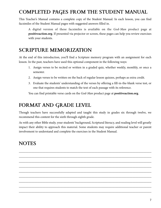# **COMPLETED PAGES FROM THE STUDENT MANUAL**

This Teacher's Manual contains a complete copy of the Student Manual. In each lesson, you can find facsimiles of the Student Manual pages with suggested answers filled in.

A digital version of these facsimiles is available on the *God-Man* product page at **positiveaction.org**. If presented via projector or screen, these pages can help you review exercises with your students.

## **SCRIPTURE MEMORIZATION**

At the end of this introduction, you'll find a Scripture memory program with an assignment for each lesson. In the past, teachers have used this optional component in the following ways:

- 1. Assign verses to be recited or written in a graded quiz, whether weekly, monthly, or once a semester.
- 2. Assign verses to be written on the back of regular lesson quizzes, perhaps as extra credit.
- 3. Evaluate the students' understanding of the verses by offering a fill-in-the-blank verse test, or one that requires students to match the text of each passage with its reference.

You can find printable verse cards on the *God-Man* product page at **positiveaction.org**.

## **FORMAT AND GRADE LEVEL**

Though teachers have successfully adapted and taught this study in grades six through twelve, we recommend this content for the sixth through eighth grade.

As with any other Bible study, your students' background, Scriptural literacy, and reading level will greatly impact their ability to approach this material. Some students may require additional teacher or parent involvement to understand and complete the exercises in the Student Manual.

\_\_\_\_\_\_\_\_\_\_\_\_\_\_\_\_\_\_\_\_\_\_\_\_\_\_\_\_\_\_\_\_\_\_\_\_\_\_\_\_\_\_\_\_\_\_\_\_\_\_\_\_\_\_\_\_\_\_\_\_\_\_\_\_\_\_\_\_\_\_\_\_\_\_\_\_\_\_\_\_\_\_\_\_ \_\_\_\_\_\_\_\_\_\_\_\_\_\_\_\_\_\_\_\_\_\_\_\_\_\_\_\_\_\_\_\_\_\_\_\_\_\_\_\_\_\_\_\_\_\_\_\_\_\_\_\_\_\_\_\_\_\_\_\_\_\_\_\_\_\_\_\_\_\_\_\_\_\_\_\_\_\_\_\_\_\_\_\_ \_\_\_\_\_\_\_\_\_\_\_\_\_\_\_\_\_\_\_\_\_\_\_\_\_\_\_\_\_\_\_\_\_\_\_\_\_\_\_\_\_\_\_\_\_\_\_\_\_\_\_\_\_\_\_\_\_\_\_\_\_\_\_\_\_\_\_\_\_\_\_\_\_\_\_\_\_\_\_\_\_\_\_\_ \_\_\_\_\_\_\_\_\_\_\_\_\_\_\_\_\_\_\_\_\_\_\_\_\_\_\_\_\_\_\_\_\_\_\_\_\_\_\_\_\_\_\_\_\_\_\_\_\_\_\_\_\_\_\_\_\_\_\_\_\_\_\_\_\_\_\_\_\_\_\_\_\_\_\_\_\_\_\_\_\_\_\_\_ \_\_\_\_\_\_\_\_\_\_\_\_\_\_\_\_\_\_\_\_\_\_\_\_\_\_\_\_\_\_\_\_\_\_\_\_\_\_\_\_\_\_\_\_\_\_\_\_\_\_\_\_\_\_\_\_\_\_\_\_\_\_\_\_\_\_\_\_\_\_\_\_\_\_\_\_\_\_\_\_\_\_\_\_ \_\_\_\_\_\_\_\_\_\_\_\_\_\_\_\_\_\_\_\_\_\_\_\_\_\_\_\_\_\_\_\_\_\_\_\_\_\_\_\_\_\_\_\_\_\_\_\_\_\_\_\_\_\_\_\_\_\_\_\_\_\_\_\_\_\_\_\_\_\_\_\_\_\_\_\_\_\_\_\_\_\_\_\_ \_\_\_\_\_\_\_\_\_\_\_\_\_\_\_\_\_\_\_\_\_\_\_\_\_\_\_\_\_\_\_\_\_\_\_\_\_\_\_\_\_\_\_\_\_\_\_\_\_\_\_\_\_\_\_\_\_\_\_\_\_\_\_\_\_\_\_\_\_\_\_\_\_\_\_\_\_\_\_\_\_\_\_\_ \_\_\_\_\_\_\_\_\_\_\_\_\_\_\_\_\_\_\_\_\_\_\_\_\_\_\_\_\_\_\_\_\_\_\_\_\_\_\_\_\_\_\_\_\_\_\_\_\_\_\_\_\_\_\_\_\_\_\_\_\_\_\_\_\_\_\_\_\_\_\_\_\_\_\_\_\_\_\_\_\_\_\_\_ \_\_\_\_\_\_\_\_\_\_\_\_\_\_\_\_\_\_\_\_\_\_\_\_\_\_\_\_\_\_\_\_\_\_\_\_\_\_\_\_\_\_\_\_\_\_\_\_\_\_\_\_\_\_\_\_\_\_\_\_\_\_\_\_\_\_\_\_\_\_\_\_\_\_\_\_\_\_\_\_\_\_\_\_

## **NOTES**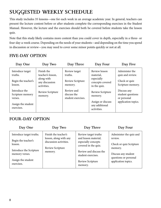# **SUGGESTED WEEKLY SCHEDULE**

This study includes 35 lessons—one for each week in an average academic year. In general, teachers can present the lecture content before or after students complete the corresponding exercises in the Student Manual. However, the lecture and the exercises should both be covered before students take the lesson quiz.

Note that this study likely contains more content than you could cover in depth, especially in a three- or four-day-a-week course. Depending on the needs of your students—and depending on the time you spend in discussion or review—you may need to cover some minor points quickly or not at all.

## **FIVE-DAY OPTION**

| Day One                                                                          | Day Two                                                                        | Day Three                                               | Day Four                                                                          | Day Five                                                                 |
|----------------------------------------------------------------------------------|--------------------------------------------------------------------------------|---------------------------------------------------------|-----------------------------------------------------------------------------------|--------------------------------------------------------------------------|
| Introduce target<br>truths.<br>Begin the teacher's<br>lesson.                    | Finish the<br>teacher's lesson,<br>along with<br>any discussion<br>activities. | Review target<br>truths.<br>Review Scripture<br>memory. | Review lesson<br>material,<br>especially<br>concepts covered<br>in the quiz.      | Administer the<br>quiz and review.<br>Check or quiz<br>Scripture memory. |
| Introduce the<br>Scripture memory<br>verses.<br>Assign the student<br>exercises. | Review Scripture<br>memory.                                                    | Review and<br>discuss the<br>student exercises.         | Review Scripture<br>memory.<br>Assign or discuss<br>any additional<br>activities. | Discuss any<br>student questions<br>or personal<br>application topics.   |

### **FOUR-DAY OPTION**

| Day One                                                                                                                                     | Day Two                                                                                                 | Day Three                                                                                                                                                                  | Day Four                                                                                                                                        |
|---------------------------------------------------------------------------------------------------------------------------------------------|---------------------------------------------------------------------------------------------------------|----------------------------------------------------------------------------------------------------------------------------------------------------------------------------|-------------------------------------------------------------------------------------------------------------------------------------------------|
| Introduce target truths.<br>Begin the teacher's<br>lesson.<br>Introduce the Scripture<br>memory verses.<br>Assign the student<br>exercises. | Finish the teacher's<br>lesson, along with any<br>discussion activities.<br>Review Scripture<br>memory. | Review target truths<br>and lesson material,<br>especially concepts<br>covered in the quiz.<br>Review and discuss the<br>student exercises.<br>Review Scripture<br>memory. | Administer the quiz and<br>review.<br>Check or quiz Scripture<br>memory.<br>Discuss any student<br>questions or personal<br>application topics. |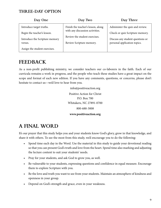### **THREE-DAY OPTION**

| Day One                        | Day Two                            | Day Three                        |
|--------------------------------|------------------------------------|----------------------------------|
| Introduce target truths.       | Finish the teacher's lesson, along | Administer the quiz and review.  |
| Begin the teacher's lesson.    | with any discussion activities.    | Check or quiz Scripture memory.  |
| Introduce the Scripture memory | Review the student exercises.      | Discuss any student questions or |
| verses.                        | Review Scripture memory.           | personal application topics.     |
| Assign the student exercises.  |                                    |                                  |

## **FEEDBACK**

As a non-profit publishing ministry, we consider teachers our co-laborers in the faith. Each of our curricula remains a work in progress, and the people who teach these studies have a great impact on the scope and format of each new edition. If you have any comments, questions, or concerns, please don't hesitate to contact us—we'd love to hear from you.

> info@positiveaction.org Positive Action for Christ P.O. Box 700 Whitakers, NC 27891-0700 800-688-3008 **www.positiveaction.org**

# **A FINAL WORD**

It's our prayer that this study helps you and your students know God's glory, grow in that knowledge, and share it with others. To see the most from this study, we'd encourage you to do the following:

- Spend time each day in the Word. Use the material in this study to guide your devotional reading so that you can present God's truth and love from the heart. Spend time also marking and adjusting the lecture content to suit your students' needs.
- Pray for your students, and ask God to grow you, as well.
- Be vulnerable to your students, expressing questions and confidence in equal measure. Encourage them to explore Scripture with you.
- Be the love and truth you want to see from your students. Maintain an atmosphere of kindness and openness in your group.
- Depend on God's strength and grace, even in your weakness.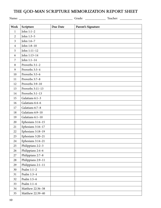## **THE GOD-MAN SCRIPTURE MEMORIZATION REPORT SHEET**

| Week           | Scripture          | Due Date | Parent's Signature |  |
|----------------|--------------------|----------|--------------------|--|
| $\mathbf{1}$   | John $1:1-2$       |          |                    |  |
| $\overline{2}$ | John 1:3-5         |          |                    |  |
| $\overline{3}$ | John 1:6-7         |          |                    |  |
| $\overline{4}$ | John 1:8-10        |          |                    |  |
| 5              | John 1:11-12       |          |                    |  |
| 6              | John 1:13-14       |          |                    |  |
| 7              | John $1:1-14$      |          |                    |  |
| 8              | Proverbs 3:1-2     |          |                    |  |
| 9              | Proverbs 3:3-4     |          |                    |  |
| 10             | Proverbs 3:5-6     |          |                    |  |
| 11             | Proverbs 3:7-8     |          |                    |  |
| 12             | Proverbs 3:9-10    |          |                    |  |
| 13             | Proverbs 3:11-13   |          |                    |  |
| 14             | Proverbs 3:1-13    |          |                    |  |
| 15             | Galatians 6:1-3    |          |                    |  |
| 16             | Galatians 6:4-6    |          |                    |  |
| 17             | Galatians 6:7-8    |          |                    |  |
| 18             | Galatians 6:9-10   |          |                    |  |
| 19             | Galatians 6:1-10   |          |                    |  |
| 20             | Ephesians 3:14-15  |          |                    |  |
| 21             | Ephesians 3:16-17  |          |                    |  |
| 22             | Ephesians 3:18-19  |          |                    |  |
| 23             | Ephesians 3:20-21  |          |                    |  |
| 24             | Ephesians 3:14-21  |          |                    |  |
| 25             | Philippians 2:2-3  |          |                    |  |
| 26             | Philippians 2:4-6  |          |                    |  |
| 27             | Philippians 2:7-8  |          |                    |  |
| 28             | Philippians 2:9-11 |          |                    |  |
| 29             | Philippians 2:1-11 |          |                    |  |
| 30             | Psalm $1:1-2$      |          |                    |  |
| 31             | Psalm 1:3-4        |          |                    |  |
| 32             | Psalm 1:5-6        |          |                    |  |
| 33             | Psalm 1:1-6        |          |                    |  |
| 34             | Matthew 22:36-38   |          |                    |  |
| 35             | Matthew 22:39-40   |          |                    |  |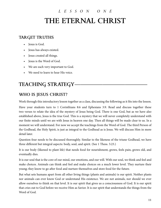# *LESSON ONE* **THE ETERNAL CHRIST**

## **TARGET TRUTHS**

- Jesus is God.
- Jesus has always existed.
- Jesus created all things.
- Jesus is the Word of God.
- We are each very important to God.
- We need to learn to hear His voice.

# **TEACHING STRATEGY-**

## **WHO IS JESUS CHRIST?**

Work through this introductory lesson together as a class, discussing the following as it fits into the lesson.

Have your students turn to 1 Corinthians 8:6 and Ephesians 3:9. Read and discuss together these two verses to relate the idea of the mystery of Jesus being God. There is one God, but as we have also established above, Jesus is the true God. This is a mystery that we will never completely understand with our finite minds until we are with Jesus in heaven one day. Then all things will be made clear to us. In a moment we will understand. For now we accept the teachings from the Word of God. The third Person of the Godhead, the Holy Spirit, is just as integral to the Godhead as is Jesus. We will discuss Him in more detail later.

Question four needs to be discussed thoroughly. Similar to the likeness of the triune Godhead, we have three different but integral aspects: body, soul, and spirit. (See 1 Thess. 5:23.)

It is our body (likened to plant life) that needs food for nourishment, grows, feels pain, grows old, and eventually dies.

It is our soul that is the core of our mind, our emotions, and our will. With our soul, we think and feel and make choices. Animals can think and feel and make choices on a much lower level. They nurture their young; they know to go after food and nurture themselves and store food for the future.

But what sets humans apart from all other living things (plants and animals) is our spirit. Neither plants nor animals can ever know God or understand His existence. We are not animals, nor should we ever allow ourselves to think on that level. It is our spirit that gives us a consciousness of God. It is our spirit that cries out to God before we receive Him as Savior. It is our spirit that understands the things from the Word of God.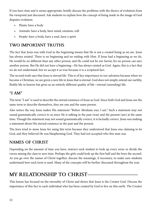If you have time and it seems appropriate, briefly discuss the problems with the theory of evolution from the viewpoint just discussed. Ask students to explain how the concept of being made in the image of God disputes evolution.

- Plants: have a body
- Animals: have a body, have mind, emotion, will
- People: have a body, have a soul, have a spirit

## **TWO IMPORTANT TRUTHS**

The fact that Jesus was with God in the beginning means that He is not a created being as we are. Jesus has always existed. There is no beginning and no ending with Him. If Jesus had a beginning as we do, He would be no different than any other person; and He could not be our Savior, for no person can save another person. But He did not have a beginning—He has always existed as God. Again, this is a fact that we do not understand, but we accept it as true because it is a scriptural fact.

The second truth says that Jesus is eternal life. This is of key importance to our salvation because when we become a Christian, we are given a new life in Jesus that is eternal. God does not simply extend our earthly, fleshly life in heaven but gives us an entirely different quality of life—eternal (unending) life.

## **"I AM"**

The term "I am'' is used to describe the eternal existence of Jesus as God. Since both God and Jesus use the same term to describe themselves, they are one and the same person.

Also notice the way Jesus makes His statement "Before Abraham was, I am.'' Such a statement may not sound grammatically correct to us since He is talking in the past (was) and the present (am) at the same time. Though the statement may not sound grammatically correct, it is factually correct. Jesus was making a statement about His eternal existence in the past and the present.

The Jews tried to stone Jesus for using this term because they understood that Jesus was claiming to be God, and they believed He was blaspheming God. They had not accepted who this man was.

## **NAMES OF CHRIST**

Depending on the amount of time you have, instruct each student to look up every verse or divide the verses among the class to save time. Perhaps the girls could look up the first half and the boys the second. As you go over the names of Christ together, discuss the meanings, if necessary, to make sure students understand how each term is used. Many of the concepts will be further discussed throughout the year.

# **MY RELATIONSHIP TO CHRIST—**

This lesson has focused on the eternality of Christ and shows that Jesus is the Creator God. Discuss the importance of this fact to each individual who has been created by God to live on this earth. The Creator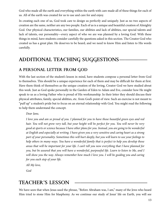God who made all the earth and everything within the earth with care made all of these things for each of us. All of the earth was created for us to use and care for and enjoy.

In creating each one of us, God took care to design us perfectly and uniquely. Just as no two aspects of creation are the same, neither are any two people. Each of us is a unique and beautiful creation of Almighty God. Our physical characteristics, our families, our abilities and lack of abilities, our special talents and lack of talents, our personality—every aspect of who we are was planned by a loving God. With these things in mind, have students consider carefully the questions asked in this section. The Creator God who created us has a great plan. He deserves to be heard, and we need to know Him and listen to His words carefully.

## **ADDITIONAL TEACHING SUGGESTIONS-**

#### **A PERSONAL LETTER FROM GOD**

With the last section of the student's lesson in mind, have students compose a personal letter from God to themselves. This should be a unique experience for each of them and may be difficult for them at first. Have them think of themselves as the unique creation of the loving, Creator God we have studied about this week. Just as God spoke personally in the Garden of Eden to Adam and Eve, consider how He might speak to us as a loving Father who is proud of His workmanship. In their letter they should discuss their physical attributes, family, special abilities, etc. from God's point of view. Such an exercise is not meant to "puff up'' a student's pride but to focus on an eternal relationship with God. You might read the following to help them understand the concept.

*Dear Jane,*

*I love you and am so proud of you. I planned for you to have those beautiful green eyes and red hair. You will not grow very tall, but your height will be perfect for you. You will never be very good at sports or science because I have other plans for you. Instead, you are going to be wonderful at English and especially at writing. I have given you a very sensitive and caring heart as a strong part of your personality. Sometimes this will hurt deeply, but you will learn to use your feelings to help others in many ways. You have a wonderful family that is perfect to help you develop those areas that will be important for your life. I can't tell you now everything that I have planned for you, but be assured that you will have a wonderful, purposeful life. Learn to listen to Me, and I will show you the way. Always remember how much I love you. I will be guiding you and caring for you each step of your life.*

*All My love,*

*God*

## **TEACHER'S LESSON —————————————**

We have seen that when Jesus used the phrase, "Before Abraham was, I am," many of the Jews who heard Him tried to stone Him for blasphemy. As we continue our study of Jesus' life on Earth, you will see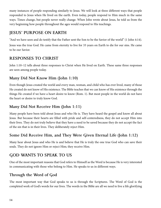many instances of people responding similarly to Jesus. We will look at three different ways that people responded to Jesus when He lived on the earth. Even today, people respond to Him much in the same ways. Times change, but people never really change. When John wrote about Jesus, he told us from the very beginning how people throughout the ages would respond to His teachings.

## **JESUS' PURPOSE ON EARTH**

"And we have seen and do testify that the Father sent the Son to be the Savior of the world'' (1 John 4:14).

Jesus was the true God. He came from eternity to live for 33 years on Earth to die for our sins. He came to be our Savior.

## **RESPONSES TO CHRIST**

John 1:10–12 tells about three responses to Christ when He lived on Earth. These same three responses are seen among people today.

### **Many Did Not Know Him (John 1:10)**

Even though Jesus created the world and every man, woman, and child who has ever lived, many of those He created do not know of His existence. The Bible teaches that we can know of His existence through the things He created if we have a heart desire to know (Rom. 1). But most people in the world do not have the heart or desire to truly know God.

### **Many Did Not Receive Him (John 1:11)**

Many people have been told about Jesus and who He is. They have heard the gospel and know all about Jesus. But because their hearts are filled with pride and self-centeredness, they do not accept Him into their lives. They do not truly believe that they have a need to be saved because they do not accept the fact of the sin that is in their lives. They deliberately reject Him.

### **Some Did Receive Him, and They Were Given Eternal Life (John 1:12)**

Many hear about Jesus and who He is and believe that He is truly the one true God who can save their souls. They do not ignore Him or reject Him; they receive Him.

## **GOD WANTS TO SPEAK TO US**

One of the most important reasons that God refers to Himself as the Word is because He is very interested in communicating with those who belong to Him. He speaks to us in different ways.

### **Through the Word of God**

The most important way that God speaks to us is through the Scriptures. The Word of God is the completed work of God's words for our lives. The words in the Bible are all we need to live a life glorifying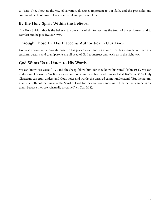to Jesus. They show us the way of salvation, doctrines important to our faith, and the principles and commandments of how to live a successful and purposeful life.

#### **By the Holy Spirit Within the Believer**

The Holy Spirit indwells the believer to convict us of sin, to teach us the truth of the Scriptures, and to comfort and help us live our lives.

#### **Through Those He Has Placed as Authorities in Our Lives**

God also speaks to us through those He has placed as authorities in our lives. For example, our parents, teachers, pastors, and grandparents are all used of God to instruct and teach us in the right way.

#### **God Wants Us to Listen to His Words**

We can know His voice: " . . . and the sheep follow him: for they know his voice" (John 10:4). We can understand His words: "incline your ear and come unto me: hear, and your soul shall live" (Isa. 55:3). Only Christians can truly understand God's voice and words; the unsaved cannot understand. "But the natural man receiveth not the things of the Spirit of God: for they are foolishness unto him: neither can he know them, because they are spiritually discerned'' (1 Cor. 2:14).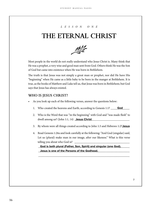#### *LESSON ONE*

# **THE ETERNAL CHRIST**



Most people in the world do not really understand who Jesus Christ is. Many think that He was a prophet, a very wise and good man sent from God. Others think He was the Son of God but came into existence when He was born in Bethlehem.

The truth is that Jesus was not simply a great man or prophet, nor did He have His "beginning'' when He came as a little baby to be born in the manger at Bethlehem. It is true, as the books of Matthew and Luke tell us, that Jesus was born in Bethlehem; but God says that Jesus has always existed.

#### **WHO IS JESUS CHRIST?**

- As you look up each of the following verses, answer the questions below:
	- 1. Who created the heavens and Earth, according to Genesis 1:1? \_\_\_\_\_\_\_\_\_\_\_\_\_\_\_\_ **God**
	- 2. Who is the Word that was "in the beginning'' with God and "was made flesh'' to dwell among us? (John 1:1, 14) \_\_\_\_\_\_\_\_\_\_\_\_\_\_\_\_\_\_\_\_\_\_\_\_\_\_\_\_\_\_\_\_\_\_\_\_\_\_ **Jesus Christ**
	- 3. By whom were all things created according to John 1:3 and Hebrews 1:2? Jesus
	- 4. Read Genesis 1:26a and look carefully at the following: "And God (singular) said, Let us (plural) make man in our image, after our likeness.'' What is this verse telling you about who God is?

God is both plural (Father, Son, Spirit) and singular (one God). \_\_\_\_\_\_\_\_\_\_\_\_\_\_\_\_\_\_\_\_\_\_\_\_\_\_\_\_\_\_\_\_\_\_\_\_\_\_\_\_\_\_\_\_\_\_\_\_\_\_\_\_\_\_\_\_\_\_\_\_\_\_\_ **Jesus is one of the Persons of the Godhead.**

\_\_\_\_\_\_\_\_\_\_\_\_\_\_\_\_\_\_\_\_\_\_\_\_\_\_\_\_\_\_\_\_\_\_\_\_\_\_\_\_\_\_\_\_\_\_\_\_\_\_\_\_\_\_\_\_\_\_\_\_\_\_\_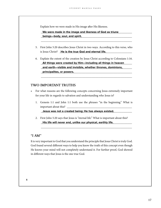Explain how we were made in His image after His likeness.

#### \_\_\_\_\_\_\_\_\_\_\_\_\_\_\_\_\_\_\_\_\_\_\_\_\_\_\_\_\_\_\_\_\_\_\_\_\_\_\_\_\_\_\_\_\_\_\_\_\_\_\_\_\_\_\_\_\_\_\_\_\_\_\_ **We were made in the image and likeness of God as triune**  \_\_\_\_\_\_\_\_\_\_\_\_\_\_\_\_\_\_\_\_\_\_\_\_\_\_\_\_\_\_\_\_\_\_\_\_\_\_\_\_\_\_\_\_\_\_\_\_\_\_\_\_\_\_\_\_\_\_\_\_\_\_\_ **beings—body, soul, and spirit.**

5. First John 5:20 describes Jesus Christ in two ways. According to this verse, who is Jesus Christ? La the true God and eternal life.

\_\_\_\_\_\_\_\_\_\_\_\_\_\_\_\_\_\_\_\_\_\_\_\_\_\_\_\_\_\_\_\_\_\_\_\_\_\_\_\_\_\_\_\_\_\_\_\_\_\_\_\_\_\_\_\_\_\_\_\_\_\_\_

6. Explain the extent of the creation by Jesus Christ according to Colossians 1:16. **All things were created by Him—including all things in heaven**  \_\_\_\_\_\_\_\_\_\_\_\_\_\_\_\_\_\_\_\_\_\_\_\_\_\_\_\_\_\_\_\_\_\_\_\_\_\_\_\_\_\_\_\_\_\_\_\_\_\_\_\_\_\_\_\_\_\_\_\_\_\_\_ **and earth—visible and invisible, whether thrones, dominions,**  \_\_\_\_\_\_\_\_\_\_\_\_\_\_\_\_\_\_\_\_\_\_\_\_\_\_\_\_\_\_\_\_\_\_\_\_\_\_\_\_\_\_\_\_\_\_\_\_\_\_\_\_\_\_\_\_\_\_\_\_\_\_\_ **principalites, or powers.**

\_\_\_\_\_\_\_\_\_\_\_\_\_\_\_\_\_\_\_\_\_\_\_\_\_\_\_\_\_\_\_\_\_\_\_\_\_\_\_\_\_\_\_\_\_\_\_\_\_\_\_\_\_\_\_\_\_\_\_\_\_\_\_

#### **TWO IMPORTANT TRUTHS**

- For what reasons are the following concepts concerning Jesus extremely important for your life in regards to salvation and understanding who Jesus is?
	- 1. Genesis 1:1 and John 1:1 both use the phrases "in the beginning.'' What is important about this? \_

\_\_\_\_\_\_\_\_\_\_\_\_\_\_\_\_\_\_\_\_\_\_\_\_\_\_\_\_\_\_\_\_\_\_\_\_\_\_\_\_\_\_\_\_\_\_\_\_\_\_\_\_\_\_\_\_\_\_\_\_\_\_\_ **Jesus was not a created being; He has always existed.**

2. First John 5:20 says that Jesus is "eternal life.'' What is important about this? \_\_\_\_\_\_\_\_\_\_\_\_\_\_\_\_\_\_\_\_\_\_\_\_\_\_\_\_\_\_\_\_\_\_\_\_\_\_\_\_\_\_\_\_\_\_\_\_\_\_\_\_\_\_\_\_\_\_\_\_\_\_\_ **His life will never end, unlike our physical, earthly life.**

\_\_\_\_\_\_\_\_\_\_\_\_\_\_\_\_\_\_\_\_\_\_\_\_\_\_\_\_\_\_\_\_\_\_\_\_\_\_\_\_\_\_\_\_\_\_\_\_\_\_\_\_\_\_\_\_\_\_\_\_\_\_\_

#### **"I AM''**

It is very important to God that you understand the principle that Jesus Christ is truly God. God found several different ways to help you know the truth of this concept even though He knows your mind will not completely understand it. For further proof, God showed in different ways that Jesus is the one true God.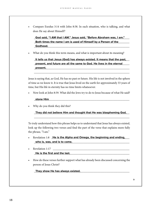• Compare Exodus 3:14 with John 8:58. In each situation, who is talking, and what does He say about Himself?

God said, "I AM that I AM." Jesus said, "Before Abraham was, I am." **Both times the name I am is used of Himself by a Person of the** \_\_\_\_\_\_\_\_\_\_\_\_\_\_\_\_\_\_\_\_\_\_\_\_\_\_\_\_\_\_\_\_\_\_\_\_\_\_\_\_\_\_\_\_\_\_\_\_\_\_\_\_\_\_\_\_\_\_\_\_\_\_\_\_\_\_ **Godhead.**

• What do you think this term means, and what is important about its meaning?

It tells us that Jesus (God) has always existed. It means that the past, present, and future are all the same to God. He lives in the eternal \_\_\_\_\_\_\_\_\_\_\_\_\_\_\_\_\_\_\_\_\_\_\_\_\_\_\_\_\_\_\_\_\_\_\_\_\_\_\_\_\_\_\_\_\_\_\_\_\_\_\_\_\_\_\_\_\_\_\_\_\_\_\_\_\_\_ **present.**

\_\_\_\_\_\_\_\_\_\_\_\_\_\_\_\_\_\_\_\_\_\_\_\_\_\_\_\_\_\_\_\_\_\_\_\_\_\_\_\_\_\_\_\_\_\_\_\_\_\_\_\_\_\_\_\_\_\_\_\_\_\_\_\_\_\_

Jesus is saying that, as God, He has no past or future. His life is not involved in the sphere of time as we know it. It is true that Jesus lived on the earth for approximately 33 years of time, but His life in eternity has no time limits whatsoever.

• Now look at John 8:59. What did the Jews try to do to Jesus because of what He said?

#### \_\_\_\_\_\_\_\_\_\_\_\_\_\_\_\_\_\_\_\_\_\_\_\_\_\_\_\_\_\_\_\_\_\_\_\_\_\_\_\_\_\_\_\_\_\_\_\_\_\_\_\_\_\_\_\_\_\_\_\_\_\_\_\_\_\_ **stone Him**

Why do you think they did this?

They did not believe Him and thought that He was blaspheming God. \_\_\_\_\_\_\_\_\_\_\_\_\_\_\_\_\_\_\_\_\_\_\_\_\_\_\_\_\_\_\_\_\_\_\_\_\_\_\_\_\_\_\_\_\_\_\_\_\_\_\_\_\_\_\_\_\_\_\_\_\_\_\_\_\_\_

To truly understand how this phrase helps us to understand that Jesus has always existed, look up the following two verses and find the part of the verse that explains more fully the phrase, "I am."

- **•** Revelation 1:8 **He is the Alpha and Omega, the beginning and ending,** \_\_\_\_\_\_\_\_\_\_\_\_\_\_\_\_\_\_\_\_\_\_\_\_\_\_\_\_\_\_\_\_\_\_\_\_\_\_\_\_\_\_\_\_\_\_\_\_\_\_\_\_\_\_\_\_\_\_\_\_\_\_\_\_\_\_ **who is, was, and is to come.**
- Revelation 1:17 \_\_\_\_\_\_\_\_\_\_\_\_\_\_\_\_\_\_\_\_\_\_\_\_\_\_\_\_\_\_\_\_\_\_\_\_\_\_\_\_\_\_\_\_\_\_\_\_\_\_\_\_\_\_\_\_\_\_\_\_\_\_\_\_\_\_ **He is the first and the last.**
- How do these verses further support what has already been discussed concerning the person of Jesus Christ?

\_\_\_\_\_\_\_\_\_\_\_\_\_\_\_\_\_\_\_\_\_\_\_\_\_\_\_\_\_\_\_\_\_\_\_\_\_\_\_\_\_\_\_\_\_\_\_\_\_\_\_\_\_\_\_\_\_\_\_\_\_\_\_\_\_\_ **They show He has always existed.**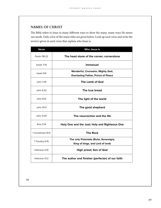#### **NAMES OF CHRIST**

The Bible refers to Jesus in many different ways to show the many, many ways He meets our needs. Only a few of His many titles are given below. Look up each verse and write the term(s) given in each verse that explain who Jesus is.

| <b>Verse</b>       | <b>Who Jesus Is</b>                                                             |
|--------------------|---------------------------------------------------------------------------------|
| Psalm 118:22       | The head stone of the corner; cornerstone                                       |
| Isaiah 7:14        | <b>Immanuel</b>                                                                 |
| Isaiah 9:6         | Wonderful, Counselor, Mighty God,<br><b>Everlasting Father, Prince of Peace</b> |
| John 1:29          | The Lamb of God                                                                 |
| John 6:32          | The true bread                                                                  |
| John 8:12          | The light of the world                                                          |
| John 10:11         | The good shepherd                                                               |
| John 11:25         | The resurrection and the life                                                   |
| Acts 3:14          | Holy One and the Just; Holy and Righteous One                                   |
| 1 Corinthians 10:4 | <b>The Rock</b>                                                                 |
| 1 Timothy 6:15     | The only Potentate (Ruler, Sovereign),<br>King of kings, and Lord of lords      |
| Hebrews 4:14       | High priest; Son of God                                                         |
| Hebrews 12:2       | The author and finisher (perfecter) of our faith                                |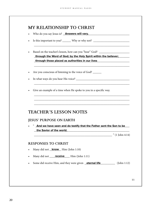## **MY RELATIONSHIP TO CHRIST**

- Who do you say Jesus is? **Answers will vary. Answers will vary. Answers will vary.**
- Is this important to you? \_\_\_\_\_\_ Why or why not? \_\_\_\_\_\_\_\_\_\_\_\_\_\_\_\_\_\_\_\_\_\_\_\_\_\_\_\_\_
- Based on the teacher's lesson, how can you "hear" God? \_\_\_\_\_\_\_\_\_\_\_\_\_\_\_\_\_\_\_\_\_\_\_ through the Word of God; by the Holy Spirit within the believer; **we arrite that** \_\_\_\_\_\_\_\_\_\_\_\_\_\_\_\_\_\_\_\_\_\_\_\_\_\_\_\_\_\_\_\_\_\_\_\_\_\_\_\_\_\_\_\_\_\_\_\_\_\_\_\_\_\_\_\_\_\_\_\_\_\_\_\_\_\_ **through those placed as authorities in our lives**

\_\_\_\_\_\_\_\_\_\_\_\_\_\_\_\_\_\_\_\_\_\_\_\_\_\_\_\_\_\_\_\_\_\_\_\_\_\_\_\_\_\_\_\_\_\_\_\_\_\_\_\_\_\_\_\_\_\_\_\_\_\_\_\_\_\_

\_\_\_\_\_\_\_\_\_\_\_\_\_\_\_\_\_\_\_\_\_\_\_\_\_\_\_\_\_\_\_\_\_\_\_\_\_\_\_\_\_\_\_\_\_\_\_\_\_\_\_\_\_\_\_\_\_\_\_\_\_\_\_\_\_\_

\_\_\_\_\_\_\_\_\_\_\_\_\_\_\_\_\_\_\_\_\_\_\_\_\_\_\_\_\_\_\_\_\_\_\_\_\_\_\_\_\_\_\_\_\_\_\_\_\_\_\_\_\_\_\_\_\_\_\_\_\_\_\_\_\_\_

\_\_\_\_\_\_\_\_\_\_\_\_\_\_\_\_\_\_\_\_\_\_\_\_\_\_\_\_\_\_\_\_\_\_\_\_\_\_\_\_\_\_\_\_\_\_\_\_\_\_\_\_\_\_\_\_\_\_\_\_\_\_\_\_\_\_ \_\_\_\_\_\_\_\_\_\_\_\_\_\_\_\_\_\_\_\_\_\_\_\_\_\_\_\_\_\_\_\_\_\_\_\_\_\_\_\_\_\_\_\_\_\_\_\_\_\_\_\_\_\_\_\_\_\_\_\_\_\_\_\_\_\_ \_\_\_\_\_\_\_\_\_\_\_\_\_\_\_\_\_\_\_\_\_\_\_\_\_\_\_\_\_\_\_\_\_\_\_\_\_\_\_\_\_\_\_\_\_\_\_\_\_\_\_\_\_\_\_\_\_\_\_\_\_\_\_\_\_\_

- Are you conscious of listening to the voice of God? \_\_\_\_\_\_
- In what ways do you hear His voice? \_\_\_\_\_\_\_\_\_\_\_\_\_\_\_\_\_\_\_\_\_\_\_\_\_\_\_\_\_\_\_\_\_\_\_\_\_
- Give an example of a time when He spoke to you in a specific way.

### **TEACHER'S LESSON NOTES**

#### **JESUS' PURPOSE ON EARTH**

. " And we have seen and do testify that the Father sent the Son to be **the Savior of the world. the savior of the world. the Savior of the world. the same of the world.** 

 $\ddot{ }$  (1 John 4:14)

#### **RESPONSES TO CHRIST**

- Many did not **know** Him (John 1:10)
- Many did not <u>receive</u> Him (John 1:11)
- Some did receive Him, and they were given **eternal life** [John 1:12]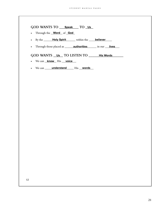| <b>GOD WANTS TO</b> | Speak TO Us |
|---------------------|-------------|
|---------------------|-------------|

- Through the **Word** of **God**
- By the **Holy Spirit** within the **believer**
- Through those placed as <u>equal **authorities** and in our strives</u>

 $\mathsf{GOD} \text{ WANTS}$  <u>Us</u> TO LISTEN TO \_\_\_\_\_\_\_His Words \_\_\_\_\_

- We can **know** His **voice**
- We can <u>winderstand</u> His words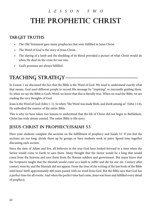# *LESSON TWO* **THE PROPHETIC CHRIST**

## **TARGET TRUTHS**

- The Old Testament gave many prophecies that were fulfilled in Jesus Christ.
- The Word of God is the story of Jesus Christ.
- The slaying of a lamb and the shedding of its blood provided a picture of what Christ would do when He died on the cross for our sins.
- God's promises are always fulfilled.

# **TEACHING STRATEGY——**

In Lesson 1 we discussed the fact that the Bible is the Word of God. We need to understand exactly what that means. God used different people to record His message by "inspiring" or inerrantly guiding them. So when we say the Bible is God's Word, we know that this is literally true. When we read the Bible, we are reading the very thoughts of God.

Jesus is the Word of God (John 1: 1). So when "the Word was made flesh, and dwelt among us" (John 1:14), He embodied the essence of the entire Bible.

This is why we have taken two lessons to understand that the life of Christ did not begin in Bethlehem. Christ has truly always existed. The entire Bible is His story.

## **JESUS CHRIST IN PROPHECY/ISAIAH 53**

Have your students complete the sections on the fulfillment of prophecy and Isaiah 53. If you feel the sections are too long, divide them up by groups or have students work in pairs. Spend time together discussing each section.

Since the time of Adam and Eve, all believers in the true God have looked forward to a time when the Savior would come to Earth to save them. Many thought that the Savior would be a king that would come from the heavens and save them from the Roman soldiers and government. But many knew that the Scriptures taught that the Messiah would come as a lamb to suffer and die for our sin. Century after century went by, and the Messiah did not appear. From the time of the writing of the last book of the Bible until Jesus' birth approximately 400 years passed with no word from God. But the Bible says that God has a perfect time for all events. And when the perfect time had come, Jesus was born and fulfilled every detail of prophecy.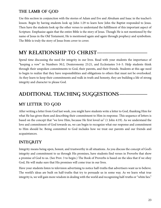## **THE LAMB OF GOD**

Use this section in conjunction with the stories of Adam and Eve and Abraham and Isaac in the teacher's lesson. Begin by having students look up John 1:29 to learn how John the Baptist responded to Jesus. Then have the students look up the other verses to understand the fulfillment of this important aspect of Scripture. Emphasize again that the entire Bible is the story of Jesus. Though He is not mentioned by the name of Jesus in the Old Testament, He is mentioned again and again through prophecy and symbolism. The Bible is truly the story of Jesus from cover to cover.

# **MY RELATIONSHIP TO CHRIST-**

Spend time discussing the need for integrity in our lives. Read with your students the importance of "keeping a vow" in Numbers 30:2, Deuteronomy 23:21, and Ecclesiastes 5:4–5. Help students think through their unspoken commitments to God, their parents, and their friends. Students at this age need to begin to realize that they have responsibilities and obligations to others that must not be overlooked. As they learn to keep their commitments and walk in truth and honesty, they are building a life of strong integrity and character to please God.

# **ADDITIONAL TEACHING SUGGESTIONS-**

## **MY LETTER TO GOD**

After writing a letter from God last week, you might have students write a letter to God, thanking Him for what He has given them and describing their commitment to Him in response. This sequence of letters is based on the concept that "we love Him, because He first loved us" (1 John 4:19). As we understand the love and commitment of God towards us, we can begin to recognize what our response and commitment to Him should be. Being committed to God includes how we treat our parents and our friends and acquaintances.

## **INTEGRITY**

Integrity means being open, honest, and trustworthy in all situations. As you discuss the concept of God's integrity and commitment to us through His promises, have students find verses in Proverbs that show a promise of God to us. (See Prov. 3 to begin.) The Book of Proverbs is based on the idea that if we obey God, He will make sure that His promises will come true in our lives.

Have your students listen to television advertising to notice half-truths that advertisers want us to believe. The world's ideas are built on half-truths that try to persuade us in some way. As we learn what true integrity is, we will gain more wisdom in dealing with the world and recognizing half-truths or "white lies."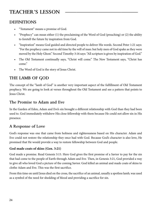# **TEACHER'S LESSON —————————————**

## **DEFINITIONS**

- "Testament" means a promise of God.
- "Prophecy" can mean either (1) the proclaiming of the Word of God (preaching) or (2) the ability to foretell the future by inspiration from God.
- "Inspiration" means God guided and directed people to deliver His words. Second Peter 1:21 says: "For the prophecy came not in old time by the will of man: but holy men of God spake as they were moved by the Holy Ghost." Second Timothy 3:16 says: "All scripture is given by inspiration of God."
- The Old Testament continually says, "Christ will come." The New Testament says, "Christ has come."
- The Word of God is the story of Jesus Christ.

## **THE LAMB OF GOD**

The concept of the "lamb of God" is another very important aspect of the fulfillment of Old Testament prophecy. We are going to look at verses throughout the Old Testament and see a pattern that points to Jesus Christ.

#### **The Promise to Adam and Eve**

In the Garden of Eden, Adam and Eve's sin brought a different relationship with God than they had been used to. God immediately withdrew His close fellowship with them because He could not allow sin in His presence.

### **A Response of Love**

God's response was one that came from holiness and righteousness based on His character. Adam and Eve could not restore the relationship they once had with God. Because God's character is also love, He promised that He would provide a way to restore fellowship between God and people.

#### **God made coats of skins (Gen. 3:21)**

God made a promise. Read Genesis 3:15. Here God gives the first promise of a Savior to pay for the sin that had come to the people of Earth through Adam and Eve. Then, in Genesis 3:21, God provided a way to give all who loved God a picture of the coming Savior. God killed an animal and made coats of skins to clothe Adam and Eve. This was the first sacrifice.

From this time on until Jesus died on the cross, the sacrifice of an animal, usually a spotless lamb, was used as a symbol of the need for shedding of blood and providing a sacrifice for sin.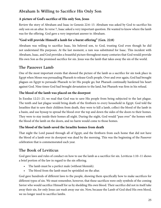## **Abraham Is Willing to Sacrifice His Only Son**

#### **A picture of God's sacrifice of His only Son, Jesus**

Review the story of Abraham and Isaac in Genesis 22:6–13. Abraham was asked by God to sacrifice his only son on an altar. In verse 7, Isaac asked a very important question. He wanted to know where the lamb was for the offering. God gave a very important answer to Abraham.

#### **"God will provide Himself a lamb for a burnt offering" (Gen. 22:8)**

Abraham was willing to sacrifice Isaac, his beloved son, to God, trusting God even though he did not understand His purposes. At the last moment, a ram was substituted for Isaac. This incident with Abraham, Isaac, and God provides a beautiful picture throughout many centuries that God would provide His own Son as the promised sacrifice for sin. Jesus was the lamb that takes away the sin of the world.

#### **The Passover Lamb**

One of the most important events that showed the picture of the lamb as a sacrifice for sin took place in Egypt when Moses was persuading Pharaoh to release God's people. Over and over again, God had brought plagues on Egypt to persuade Pharaoh to let His people go; but Pharaoh continually hardened his heart against God. Nine times God had brought devastation to the land, but Pharaoh was firm in his refusal.

#### **The blood of the lamb was placed on the doorpost**

In Exodus 12:21–23, we read that God was to save His people from being subjected to the last plague. The tenth and last plague would bring death of the firstborn to every household in Egypt. God told the Israelites that to save their children from death, they were to kill a lamb, collect the blood of the lamb in a basin, and use hyssop to spread the blood over the top and down the sides of the doors to their homes. They were to stay inside their homes all night. During the night, God would "pass over" the homes with the blood of the lamb on the doors, and no harm would come to those homes.

#### **The blood of the lamb saved the Israelite homes from death**

That night the Lord passed through all of Egypt, and the firstborn from each home that did not have the blood of a lamb over its doorpost was dead by the morning. This was the beginning of the Passover celebration that is commemorated each year.

#### **The Book of Leviticus**

God gave laws and rules of conduct on how to use the lamb as a sacrifice for sin. Leviticus 1:10–11 shows a brief portion of the law in regard to the sin offering.

- The lamb must be a perfect male (without blemish).
- The blood from the lamb must be sprinkled on the altar.

God gave hundreds of different laws to the people, showing them specifically how to make sacrifices for different types of sin. We must remember, however, that these sacrifices were only symbols of the coming Savior who would sacrifice Himself for us by shedding His own blood. Their sacrifice did not in itself take away their sin, for only Jesus can wash away our sin. Now, because the Lamb of God shed His own blood, we no longer need to sacrifice lambs.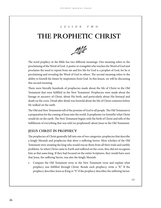#### *LESSON TWO*

# **THE PROPHETIC CHRIST**



The word *prophecy* in the Bible has two different meanings. One meaning refers to the proclaiming of the Word of God. A pastor or evangelist who teaches the Word of God and proclaims the need to repent from sin and live life for God is a prophet of God, for he is proclaiming and revealing the Word of God to others. The second meaning refers to the ability to foretell the future by inspiration from God. In this lesson, we will be discussing this second meaning.

There were literally hundreds of prophecies made about the life of Christ in the Old Testament that were fulfilled in the New Testament. Prophecies were made about the lineage or ancestry of Christ, about His birth, and particularly about His betrayal and death on the cross. Detail after detail was foretold about the life of Christ centuries before He walked on the earth.

The Old and New Testaments tell of the promise of God to all people. The Old Testament is a preparation for the coming of Jesus into the world. It prophesies (or foretells) what Christ would do on the earth. The New Testament begins with the birth of Christ and tells of the ful fillment of everything that was told (or prophesied) about Jesus in the Old Testament.

#### **JESUS CHRIST IN PROPHECY**

The prophecies of Christ generally fall into one of two categories: prophecies that describe a kingly Messiah and prophecies that show a suffering Savior. Most scholars of the Old Testament were awaiting the king who would rescue them from all their trials and earthly problems. So when Christ came to Earth and suffered on the cross, they did not recognize him as that same king. If they had focused on the entire Scriptures, they would have seen that Jesus, the suffering Savior, was also the kingly Messiah.

• Compare the Old Testament verse to the New Testament verse and explain what prophecy was fulfilled through Christ. Beside each prophecy, write a "K" If the prophecy describes Jesus as King or "S" if the prophecy describes the suffering Savior.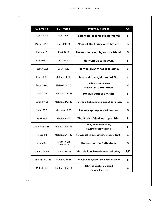| O. T. Verse        | N. T. Verse               | <b>Prophecy Fulfilled</b>                              | K/S |
|--------------------|---------------------------|--------------------------------------------------------|-----|
| Psalm 22:18        | Mark 15:24                | Lots were cast for His garments                        | S   |
| Psalm 34:20        | John 19:33–36             | None of His bones were broken.                         | S   |
| Psalm 41:9         | Mark 14:10                | He was betrayed by a close friend.                     | S   |
| Psalm 68:18        | Luke 24:51                | He went up to heaven.                                  | S   |
| Psalm 69:21        | John 19:29                | He was given vinegar to drink.                         | S   |
| Psalm 110:1        | Hebrews 10:12             | He sits at the right hand of God.                      | K   |
| Psalm 110:4        | Hebrews 6:20              | He is a priest forever<br>in the order of Melchizadek. | K   |
| Isaiah 7:14        | Matthew 1:18-23           | He was born of a virgin.                               | s   |
| Isaiah 9:1-2       | <b>Matthew 4:12-16</b>    | He was a light shining out of darkness.                | S   |
| Isaiah 50:6        | Matthew 27:30             | He was spit upon and beaten.                           | S   |
| Isaiah 61:1        | Matthew 3:16              | The Spirit of God was upon Him.                        | S   |
| Jeremiah 31:15     | Matthew 2:16-18           | Baby boys were killed,<br>causing great weeping.       | S   |
| Hosea 11:1         | Matthew 2:14-15           | He was taken into Egypt to escape death.               | S   |
| Micah 5:2          | Matthew 2:1<br>Luke 2:4-6 | He was born in Bethlehem.                              | S   |
| Zechariah 9:9      | John 12:12-15             | He rode into Jerusalem on a donkey.                    | S/K |
| Zechariah 11:12-13 | Matthew 26:15             | He was betrayed for 30 pieces of silver.               | S   |
| Malachi 3:1        | Matthew 11:7-10           | John the Baptist prepared<br>the way for Him.          | s   |

**14**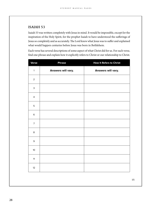#### **ISAIAH 53**

Isaiah 53 was written completely with Jesus in mind. It would be impossible, except for the inspiration of the Holy Spirit, for the prophet Isaiah to have understood the sufferings of Jesus so completely and as accurately. The Lord knew what Jesus was to suffer and explained what would happen centuries before Jesus was born in Bethlehem.

Each verse has several descriptions of some aspect of what Christ did for us. For each verse, nd one phrase and explain how it explicitly refers to Christ or our relationship to Christ.

| Verse           | <b>Phrase</b>      | <b>How It Refers to Christ</b> |
|-----------------|--------------------|--------------------------------|
| $\mathbf{1}$    | Answers will vary. | Answers will vary.             |
| $\overline{2}$  |                    |                                |
| $\mathsf 3$     |                    |                                |
| $\overline{4}$  |                    |                                |
| 5               |                    |                                |
| $\,$ 6          |                    |                                |
| $\overline{7}$  |                    |                                |
| 8               |                    |                                |
| $\mathsf 9$     |                    |                                |
| 10 <sup>°</sup> |                    |                                |
| 11              |                    |                                |
| 12              |                    |                                |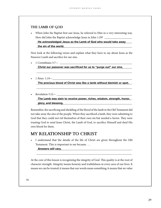#### **THE LAMB OF GOD**

• When John the Baptist first saw Jesus, he referred to Him in a very interesting way. How did John the Baptist acknowledge Jesus in John 1:29? \_\_\_\_\_\_\_\_\_\_\_\_\_\_\_\_\_\_\_\_\_\_\_\_

**He acknowledged Jesus as the Lamb of God who would take away** \_\_\_\_\_\_\_\_\_\_\_\_\_\_\_\_\_\_\_\_\_\_\_\_\_\_\_\_\_\_\_\_\_\_\_\_\_\_\_\_\_\_\_\_\_\_\_\_\_\_\_\_\_\_\_\_\_\_\_\_\_\_\_\_\_\_ **the sin of the world.**

Now look at the following verses and explain what they have to say about Jesus as the Passover Lamb and sacrifice for our sins.

• 1 Corinthians  $5:7$ —

Christ our passover was sacrificed for us to "purge out" our sins.

1 Peter: 1:19—

The precious blood of Christ was like a lamb without blemish or spot. \_\_\_\_\_\_\_\_\_\_\_\_\_\_\_\_\_\_\_\_\_\_\_\_\_\_\_\_\_\_\_\_\_\_\_\_\_\_\_\_\_\_\_\_\_\_\_\_\_\_\_\_\_\_\_\_\_\_\_\_\_\_\_\_\_\_

\_\_\_\_\_\_\_\_\_\_\_\_\_\_\_\_\_\_\_\_\_\_\_\_\_\_\_\_\_\_\_\_\_\_\_\_\_\_\_\_\_\_\_\_\_\_\_\_\_\_\_\_\_\_\_\_\_\_\_\_\_\_\_\_\_\_

Revelation 5:12-

The Lamb was slain to receive power, riches, wisdom, strength, honor, \_\_\_\_\_\_\_\_\_\_\_\_\_\_\_\_\_\_\_\_\_\_\_\_\_\_\_\_\_\_\_\_\_\_\_\_\_\_\_\_\_\_\_\_\_\_\_\_\_\_\_\_\_\_\_\_\_\_\_\_\_\_\_\_\_\_ **glory, and blessing.**

Remember, the sacrificing and shedding of the blood of the lamb in the Old Testament did not take away the sins of the people. When they sacrificed a lamb, they were admitting to God that they could not rid themselves of their own sin but needed a Savior. They were trusting God to send Jesus Christ, the Lamb of God, to sacrice Himself and shed His own blood for them.

#### **MY RELATIONSHIP TO CHRIST**

• I understand that the details of the life of Christ are given throughout the Old Testament. This is important to me because . . .

#### \_\_\_\_\_\_\_\_\_\_\_\_\_\_\_\_\_\_\_\_\_\_\_\_\_\_\_\_\_\_\_\_\_\_\_\_\_\_\_\_\_\_\_\_\_\_\_\_\_\_\_\_\_\_\_\_\_\_\_\_\_\_\_\_\_\_ **Answers will vary.**

At the core of this lesson is recognizing the integrity of God. This quality is at the root of character strength. Integrity means honesty and truthfulness in every area of our lives. It means we can be trusted; it means that our words mean something; it means that we value

\_\_\_\_\_\_\_\_\_\_\_\_\_\_\_\_\_\_\_\_\_\_\_\_\_\_\_\_\_\_\_\_\_\_\_\_\_\_\_\_\_\_\_\_\_\_\_\_\_\_\_\_\_\_\_\_\_\_\_\_\_\_\_\_\_\_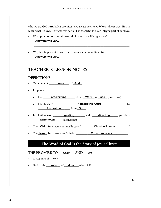who we are. God is truth. His promises have always been kept. We can always trust Him to mean what He says. He wants this part of His character to be an integral part of our lives.

\_\_\_\_\_\_\_\_\_\_\_\_\_\_\_\_\_\_\_\_\_\_\_\_\_\_\_\_\_\_\_\_\_\_\_\_\_\_\_\_\_\_\_\_\_\_\_\_\_\_\_\_\_\_\_\_\_\_\_\_\_\_\_\_\_\_

\_\_\_\_\_\_\_\_\_\_\_\_\_\_\_\_\_\_\_\_\_\_\_\_\_\_\_\_\_\_\_\_\_\_\_\_\_\_\_\_\_\_\_\_\_\_\_\_\_\_\_\_\_\_\_\_\_\_\_\_\_\_\_\_\_\_

• What promises or commitments do I have in my life right now?

\_\_\_\_\_\_\_\_\_\_\_\_\_\_\_\_\_\_\_\_\_\_\_\_\_\_\_\_\_\_\_\_\_\_\_\_\_\_\_\_\_\_\_\_\_\_\_\_\_\_\_\_\_\_\_\_\_\_\_\_\_\_\_\_\_\_ **Answers will vary.**

• Why is it important to keep these promises or commitments? \_\_\_\_\_\_\_\_\_\_\_\_\_\_\_\_\_\_\_\_\_\_\_\_\_\_\_\_\_\_\_\_\_\_\_\_\_\_\_\_\_\_\_\_\_\_\_\_\_\_\_\_\_\_\_\_\_\_\_\_\_\_\_\_\_\_ **Answers will vary.**

#### **TEACHER'S LESSON NOTES**

#### **DEFINITIONS:**

- Testament: A <u>promise</u> of **God**
- Prophecy:
	- The **proclaiming** of the **Word** of **God** (preaching)
	- The ability to <u>equal contract the future</u> of the future and the future of the solution of the solution of the solution of the solution of the solution of the solution of the solution of the solution of the solution of t \_\_\_\_\_\_\_\_\_\_\_\_\_\_\_\_\_\_\_\_\_\_ from \_\_\_\_\_\_ **inspiration God**
- Inspiration: God **guiding** and **directing** people to **write down** His message
- The \_\_\_\_\_\_ Testament continually says, " \_\_\_\_\_\_\_\_\_\_\_\_\_\_\_\_\_\_\_\_\_\_\_\_\_\_\_\_\_\_\_\_ ." **Old Christ will come**
- The \_\_\_\_\_\_ Testament says, "Christ \_\_\_\_\_\_\_\_\_\_\_\_\_\_\_\_\_\_\_\_\_\_\_\_\_\_\_\_\_\_\_\_\_\_\_\_ ." **New Christ has come**

### **The Word of God Is the Story of Jesus Christ**

#### $\begin{tabular}{c} \hline \text{THE PROMISE TO} \end{tabular} \begin{tabular}{c} \textbf{Addim} \end{tabular} \begin{tabular}{c} \hline \textbf{AND} \end{tabular} \begin{tabular}{c} \hline \textbf{Eve} \end{tabular}$

- A response of <u>love</u>
- God made **coats** of **skins** (Gen. 3:21)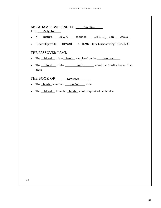| ABRAHAM IS WILLING TO | Sacrifice |
|-----------------------|-----------|
| HIS Only Son          |           |

- A \_\_\_\_\_\_\_\_\_\_\_\_\_\_ ofGod's \_\_\_\_\_\_\_\_\_\_\_\_\_\_\_\_\_\_ ofHis only \_\_\_\_\_\_, \_\_\_\_\_\_\_\_\_\_ **picture sacrifice Son Jesus**
- "God will provide **Himself** a lamb for a burnt offering" (Gen. 22:8)

#### **THE PASSOVER LAMB**

- The **blood** of the lamb was placed on the **doorpost**
- The **blood** of the **lamb** saved the Israelite homes from death

**THE BOOK OF \_\_\_\_\_\_\_\_\_\_\_\_\_\_\_\_\_\_ Leviticus**

- The **lamb** must be a **perfect** male
- The **blood** from the **lamb** must be sprinkled on the altar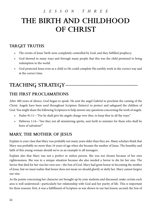# *LESSON THREE* **THE BIRTH AND CHILDHOOD OF CHRIST**

## **TARGET TRUTHS**

- The events of Jesus' birth were completely controlled by God, and they fulfilled prophecy.
- God showed in many ways and through many people that this was the child promised to bring redemption to the world.
- God protected Jesus even as a child so He could complete His earthly work in the correct way and at the correct time.

# **TEACHING STRATEGY-**

## **THE FIRST PROCLAMATIONS**

After 400 years of silence, God began to speak. He sent the angel Gabriel to proclaim the coming of the Christ. Angels have been used throughout Scripture (history) to protect and safeguard the children of God. You might share the following Scriptures to help answer any questions concerning the work of angels.

- Psalm 91:11—"For he shall give his angels charge over thee, to keep thee in all thy ways."
- Hebrews 1:14—"Are they not all ministering spirits, sent forth to minister for them who shall be heirs of salvation?"

## **MARY, THE MOTHER OF JESUS**

Explain to your class that Mary was probably not many years older than they are. Many scholars think that Mary was probably no more than 16 years of age when she became the mother of Jesus. The humility and faith of this young woman should serve as an example to all teenagers.

Explain also that Mary was not a perfect or sinless person. She was not chosen because of her own righteousness. She was in a unique situation because she also needed a Savior to die for her sins. The Savior that died for her was her own son—the Son of God. Mary had great honor in becoming the mother of Jesus, but we must realize that honor does not mean we should glorify or deify her. Mary cannot forgive our sins.

As the points concerning her character are brought up by your students and discussed, make certain each area is well understood—particularly her relationship with God and her purity of life. This is important for three reasons: first, it was a fulfillment of Scripture as was shown in our last lesson; second, the Son of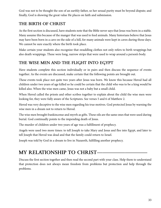God was not to be thought the son of an earthly father, so her sexual purity must be beyond dispute; and finally, God is showing the great value He places on faith and submission.

## **THE BIRTH OF CHRIST**

As the first section is discussed, have students note that the Bible never says that Jesus was born in a stable. Many assume this because of the manger that was used to feed animals. Many historians believe that Jesus may have been born in a cave on the side of a hill, for many animals were kept in caves during those days. We cannot be sure exactly where the birth took place.

Make certain your students also recognize that swaddling clothes not only refers to birth wrappings but also death wrappings. These were long, narrow strips that were used to wrap around a person's body.

## **THE WISE MEN AND THE FLIGHT INTO EGYPT**

Have students complete this section individually or in pairs and then discuss the sequence of events together. As the events are discussed, make certain that the following points are brought out.

These events took place not quite two years after Jesus was born. We know this because Herod had all children under two years of age killed so he could be certain that the child who was to be a king would be killed also. When the wise men came, Jesus was not a baby but a small child.

When Herod called the priests and other scribes together to explain about the child the wise men were looking for, they were fully aware of the Scriptures. See verses 5 and 6 of Matthew 2.

Herod was very deceptive to the wise men regarding his true motives. God protected Jesus by warning the wise men in a dream not to return to Herod.

The wise men brought frankincense and myrrh as gifts. These oils are the same ones that were used during burial. God continually points to the impending death of Jesus.

The murder of children under two years of age was a fulfillment of prophecy.

Angels were used two more times: to tell Joseph to take Mary and Jesus and flee into Egypt, and later to tell Joseph that Herod was dead and that the family could return to Israel.

Joseph was told by God in a dream to live in Nazareth, fulfilling another prophecy.

# **MY RELATIONSHIP TO CHRIST-**

Discuss the first section together and then read the second part with your class. Help them to understand that protection does not always mean freedom from problems but protection and help through the problems.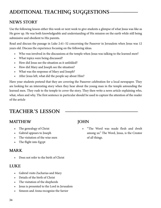# **ADDITIONAL TEACHING SUGGESTIONS**

## **NEWS STORY**

Use the following lesson either this week or next week to give students a glimpse of what Jesus was like as He grew up. He was both knowledgeable and understanding of His mission on the earth while still being submissive and obedient to His parents.

Read and discuss the passage in Luke 2:41–52 concerning the Passover in Jerusalem when Jesus was 12 years old. Discuss the experience focusing on the following ideas.

- Who was involved in the discussions at the temple when Jesus was talking to the learned men?
- What topics were being discussed?
- How did Jesus see the situation as it unfolded?
- How did Mary and Joseph see the situation?
- What was the response of Mary and Joseph?
- After Jesus left, what did the people say about Him?

Have your students pretend that they are covering the Passover celebration for a local newspaper. They are looking for an interesting story when they hear about the young man in the temple astounding the learned men. They rush to the temple to cover the story. They then write a news article explaining who, what, when and why. The first sentence in particular should be used to capture the attention of the reader of the article

# **TEACHER'S LESSON —————————————**

## **MATTHEW**

- The genealogy of Christ
- Gabriel appears to Joseph
- The visitation of the wise men
- The flight into Egypt

### **MARK**

• Does not refer to the birth of Christ

### **LUKE**

- Gabriel visits Zacharias and Mary
- Details of the birth of Christ
- The visitation of the shepherds
- Jesus is presented to the Lord in Jerusalem
- Simeon and Anna recognize the Savior

## **JOHN**

• "The Word was made flesh and dwelt among us." The Word, Jesus, is the Creator of all things.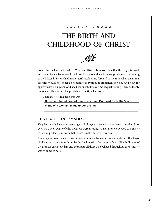#### *LESSON THREE*

# **THE BIRTH AND CHILDHOOD OF CHRIST**



For centuries, God had used His Word and His creation to explain that the kingly Messiah and the suffering Savior would be born. Prophets and teachers had proclaimed the coming of the Messiah. Priests had made sacrifices, looking forward to the time when an animal sacrifice would no longer be necessary to symbolize atonement for sin. And now, for approximately 400 years, God had been silent. It was a time of quiet waiting. Then, suddenly, out of eternity, God's voice proclaimed the time had come.

Galatians 4:4 explains it this way: "

But when the fullness of time was come, God sent forth His Son, **Netally** \_\_\_\_\_\_\_\_\_\_\_\_\_\_\_\_\_\_\_\_\_\_\_\_\_\_\_\_\_\_\_\_\_\_\_\_\_\_\_\_\_\_\_\_\_\_\_\_\_\_\_\_\_\_\_\_\_\_\_\_\_\_\_\_\_\_ **made of a woman, made under the law**

\_\_\_\_\_\_\_\_\_\_\_\_\_\_\_\_\_\_\_\_\_\_\_\_\_\_\_\_\_\_\_\_\_\_\_\_\_\_\_\_\_\_\_\_\_\_\_\_\_\_\_\_\_\_\_\_\_\_\_\_\_\_\_\_\_ ."

#### **THE FIRST PROCLAMATIONS**

Very few people have ever seen angels. God says that we may have seen an angel and not even have been aware of who it was we were meeting. Angels are sent by God to minister to us and protect us in ways that we are usually not even aware of.

But now, God sent angels to proclaim or announce the greatest event in history. The Son of God was to be born in order to be the final sacrifice for the sin of man. The fulfillment of the promise given to Adam and Eve and to all those who believed throughout the centuries was to come to pass.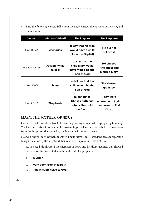• Find the following verses. Tell whom the angel visited, the purpose of the visit, and the response.

| <b>Verses</b>   | <b>Who Was Visited?</b>  | <b>The Purpose</b>                                                     | <b>The Response</b>                                           |
|-----------------|--------------------------|------------------------------------------------------------------------|---------------------------------------------------------------|
| Luke 1:5-22     | <b>Zacharias</b>         | to say that his wife<br>would have a child<br>(John the Baptist)       | He did not<br>believe it.                                     |
| Matthew 1:18-25 | Joseph (while<br>asleep) | to say that the<br>child Mary would<br>have would be the<br>Son of God | He obeyed<br>the angel and<br>married Mary.                   |
| Luke 1:26-38    | <b>Mary</b>              | to tell her that her<br>child would be the<br>Son of God               | <b>She showed</b><br>great joy.                               |
| Luke 2:8-17     | <b>Shepherds</b>         | to announce<br>Christ's birth and<br>where He could<br>be found        | They were<br>amazed and joyful<br>and went to find<br>Christ. |

#### **MARY, THE MOTHER OF JESUS**

Consider what it would be like to be a teenage young woman who is preparing to marry. You have been raised in very humble surroundings and have been very sheltered. You know from the Scriptures that someday, the Messiah will come to the earth.

How did Mary's life show that she was willing to serve God? Reread the passage regarding Mary's visitation by the angel and then read her response in Luke 1:26–56.

- As you read, think about the character of Mary and list those qualities that showed her relationship with God, and how she fulfilled prophecy.
	- 1. \_\_\_\_\_\_\_\_\_\_\_\_\_\_\_\_\_\_\_\_\_\_\_\_\_\_\_\_\_\_\_\_\_\_\_\_\_\_\_\_\_\_\_\_\_\_\_\_\_\_\_\_\_\_\_\_\_\_\_\_\_\_\_ **A virgin**
	- 2. \_\_\_\_\_\_\_\_\_\_\_\_\_\_\_\_\_\_\_\_\_\_\_\_\_\_\_\_\_\_\_\_\_\_\_\_\_\_\_\_\_\_\_\_\_\_\_\_\_\_\_\_\_\_\_\_\_\_\_\_\_\_\_ **Very poor; from Nazareth**
	- 3. **Totally submissive to God CODE 2.1 (2.2)** The Constant of Total Constant of Total Constant of Total Constant O

**20**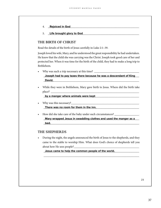- 4. \_\_\_\_\_\_\_\_\_\_\_\_\_\_\_\_\_\_\_\_\_\_\_\_\_\_\_\_\_\_\_\_\_\_\_\_\_\_\_\_\_\_\_\_\_\_\_\_\_\_\_\_\_\_\_\_\_\_\_\_\_\_\_ **Rejoiced in God**
- 5. Life brought glory to God **Example 20** and the brought glory to God

#### **THE BIRTH OF CHRIST**

Read the details of the birth of Jesus carefully in Luke 2:1–39.

Joseph loved his wife, Mary, and he understood the great responsibility he had undertaken. He knew that the child she was carrying was the Christ. Joseph took good care of her and protected her. When it was time for the birth of the child, they had to make a long trip to Bethlehem.

• Why was such a trip necessary at this time? \_\_\_\_\_\_\_\_\_\_\_\_\_\_\_\_\_\_\_\_\_\_\_\_\_\_\_\_\_\_\_

**Joseph had to pay taxes there because he was a descendant of King** \_\_\_\_\_\_\_\_\_\_\_\_\_\_\_\_\_\_\_\_\_\_\_\_\_\_\_\_\_\_\_\_\_\_\_\_\_\_\_\_\_\_\_\_\_\_\_\_\_\_\_\_\_\_\_\_\_\_\_\_\_\_\_\_\_\_ **David.**

• While they were in Bethlehem, Mary gave birth to Jesus. Where did the birth take place?

**by a manger where animals were kept** *by a manger where animals were kept* 

Why was this necessary?

\_\_\_\_\_\_\_\_\_\_\_\_\_\_\_\_\_\_\_\_\_\_\_\_\_\_\_\_\_\_\_\_\_\_\_\_\_\_\_\_\_\_\_\_\_\_\_\_\_\_\_\_\_\_\_\_\_\_\_\_\_\_\_\_\_\_ **There was no room for them in the inn.**

How did she take care of the baby under such circumstances? \_\_\_\_\_\_\_\_\_\_\_\_\_\_\_\_\_\_\_\_

Mary wrapped Jesus in swaddling clothes and used the manger as a \_\_\_\_\_\_\_\_\_\_\_\_\_\_\_\_\_\_\_\_\_\_\_\_\_\_\_\_\_\_\_\_\_\_\_\_\_\_\_\_\_\_\_\_\_\_\_\_\_\_\_\_\_\_\_\_\_\_\_\_\_\_\_\_\_\_ **bed.** 

#### **THE SHEPHERDS**

• During the night, the angels announced the birth of Jesus to the shepherds, and they came to the stable to worship Him. What does God's choice of shepherds tell you about how He sees people?

\_\_\_\_\_\_\_\_\_\_\_\_\_\_\_\_\_\_\_\_\_\_\_\_\_\_\_\_\_\_\_\_\_\_\_\_\_\_\_\_\_\_\_\_\_\_\_\_\_\_\_\_\_\_\_\_\_\_\_\_\_\_\_\_\_\_

\_\_\_\_\_\_\_\_\_\_\_\_\_\_\_\_\_\_\_\_\_\_\_\_\_\_\_\_\_\_\_\_\_\_\_\_\_\_\_\_\_\_\_\_\_\_\_\_\_\_\_\_\_\_\_\_\_\_\_\_\_\_\_\_\_\_ **Jesus came to help the common people of the world.**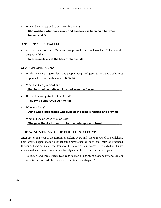• How did Mary respond to what was happening? \_\_\_\_\_\_\_\_\_\_\_\_\_\_\_\_\_\_\_\_\_\_\_\_\_\_\_\_

She watched what took place and pondered it, keeping it between **the same of the set of the set of the set of the set of the set of the set of the set of the set of the set of the set of the set of the set of the set of th** \_\_\_\_\_\_\_\_\_\_\_\_\_\_\_\_\_\_\_\_\_\_\_\_\_\_\_\_\_\_\_\_\_\_\_\_\_\_\_\_\_\_\_\_\_\_\_\_\_\_\_\_\_\_\_\_\_\_\_\_\_\_\_\_\_\_ **herself and God.**

#### **A TRIP TO JERUSALEM**

• After a period of time, Mary and Joseph took Jesus to Jerusalem. What was the purpose of this? \_

\_\_\_\_\_\_\_\_\_\_\_\_\_\_\_\_\_\_\_\_\_\_\_\_\_\_\_\_\_\_\_\_\_\_\_\_\_\_\_\_\_\_\_\_\_\_\_\_\_\_\_\_\_\_\_\_\_\_\_\_\_\_\_\_\_\_ **to present Jesus to the Lord at the temple**

#### **SIMEON AND ANNA**

- While they were in Jerusalem, two people recognized Jesus as the Savior. Who first responded to Jesus in this way? \_\_\_\_\_\_\_\_\_\_\_\_\_\_\_\_\_\_\_\_\_\_\_\_\_\_\_\_\_\_\_\_\_\_\_\_\_\_\_\_\_ **Simeon**
- What had God promised him? \_\_\_\_\_\_\_\_\_\_\_\_\_\_\_\_\_\_\_\_\_\_\_\_\_\_\_\_\_\_\_\_\_\_\_\_\_\_\_\_\_ \_\_\_\_\_\_\_\_\_\_\_\_\_\_\_\_\_\_\_\_\_\_\_\_\_\_\_\_\_\_\_\_\_\_\_\_\_\_\_\_\_\_\_\_\_\_\_\_\_\_\_\_\_\_\_\_\_\_\_\_\_\_\_\_\_\_ **that he would not die until he had seen the Savior**
- How did he recognize the Son of God? \_\_\_\_\_\_\_\_\_\_\_\_\_\_\_\_\_\_\_\_\_\_\_\_\_\_\_\_\_\_\_\_\_\_\_

\_\_\_\_\_\_\_\_\_\_\_\_\_\_\_\_\_\_\_\_\_\_\_\_\_\_\_\_\_\_\_\_\_\_\_\_\_\_\_\_\_\_\_\_\_\_\_\_\_\_\_\_\_\_\_\_\_\_\_\_\_\_\_\_\_\_ **The Holy Spirit revealed it to him.**

- Who was Anna? \_\_\_\_\_\_\_\_\_\_\_\_\_\_\_\_\_\_\_\_\_\_\_\_\_\_\_\_\_\_\_\_\_\_\_\_\_\_\_\_\_\_\_\_\_\_\_\_\_\_\_\_\_ Anna was a prophetess who lived at the temple, fasting and praying.
- What did she do when she saw Jesus? \_\_\_\_\_\_\_\_\_\_\_\_\_\_\_\_\_\_\_\_\_\_\_\_\_\_\_\_\_\_\_\_\_\_\_\_ **She gave thanks to the Lord for the redemption of Israel.**

#### **THE WISE MEN AND THE FLIGHT INTO EGYPT**

After presenting Jesus to the Lord in Jerusalem, Mary and Joseph returned to Bethlehem. Some events began to take place that could have taken the life of Jesus, but God protected the child. It was not meant that Jesus would die as a child in secret—He was to live His life openly and share many principles before dying on the cross in view of everyone.

• To understand these events, read each section of Scripture given below and explain what takes place. All the verses are from Matthew chapter 2.

**22**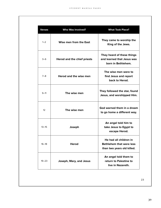| <b>Verses</b>     | <b>Who Was Involved?</b>    | <b>What Took Place?</b>                                                                 |
|-------------------|-----------------------------|-----------------------------------------------------------------------------------------|
| $1 - 2$           | Wise men from the East      | They came to worship the<br>King of the Jews.                                           |
| 3–6               | Herod and the chief priests | They heard of these things<br>and learned that Jesus was<br>born in Bethlehem.          |
| $7 - 8$           | Herod and the wise men      | The wise men were to<br>find Jesus and report<br>back to Herod.                         |
| $9 - 11$          | The wise men                | They followed the star, found<br>Jesus, and worshipped Him.                             |
| $12 \overline{ }$ | The wise men                | God warned them in a dream<br>to go home a different way.                               |
| $13 - 15$         | Joseph                      | An angel told him to<br>take Jesus to Egypt to<br>escape Herod.                         |
| $16 - 18$         | Herod                       | He had all children in<br><b>Bethlehem that were less</b><br>than two years old killed. |
| $19 - 23$         | Joseph, Mary, and Jesus     | An angel told them to<br>return to Palestine to<br>live in Nazareth.                    |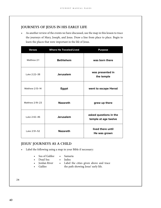#### **JOURNEYS OF JESUS IN HIS EARLY LIFE**

As another review of the events we have discussed, use the map in this lesson to trace the journeys of Mary, Joseph, and Jesus. Draw a line from place to place. Begin to learn the places that were important in the life of Jesus.

| <b>Verses</b>   | <b>Where He Traveled/Lived</b> | <b>Purpose</b>                                 |
|-----------------|--------------------------------|------------------------------------------------|
| Matthew 2:1     | <b>Bethlehem</b>               | was born there                                 |
| Luke 2:22-38    | <b>Jerusalem</b>               | was presented in<br>the temple                 |
| Matthew 2:13-14 | Egypt                          | went to escape Herod                           |
| Matthew 2:19-23 | <b>Nazareth</b>                | grew up there                                  |
| Luke 2:42-46    | <b>Jerusalem</b>               | asked questions in the<br>temple at age twelve |
| Luke 2:51-52    | <b>Nazareth</b>                | lived there until<br>He was grown              |

#### **JESUS' JOURNEYS AS A CHILD**

- Label the following using a map in your Bible if necessary:
	- Sea of Galilee
		- Samaria
	- Dead Sea
- Judea
	- Jordan River
- Label the cities given above and trace
- Galilee
- the path showing Jesus' early life.

**24**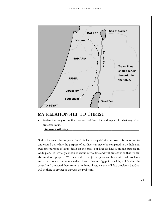

#### **MY RELATIONSHIP TO CHRIST**

• Review the story of the first few years of Jesus' life and explain in what ways God protected Jesus.

\_\_\_\_\_\_\_\_\_\_\_\_\_\_\_\_\_\_\_\_\_\_\_\_\_\_\_\_\_\_\_\_\_\_\_\_\_\_\_\_\_\_\_\_\_\_\_\_\_\_\_\_\_\_\_\_\_\_\_\_\_\_\_\_\_\_

\_\_\_\_\_\_\_\_\_\_\_\_\_\_\_\_\_\_\_\_\_\_\_\_\_\_\_\_\_\_\_\_\_\_\_\_\_\_\_\_\_\_\_\_\_\_\_\_\_\_\_\_\_\_\_\_\_\_\_\_\_\_\_\_\_\_ **Answers will vary.**

God had a great plan for Jesus. Jesus' life had a very definite purpose. It is important to understand that while the purpose of our lives can never be compared to the holy and awesome purpose of Jesus' death on the cross, our lives do have a unique purpose in God's plan. He is vitally concerned about our welfare and will protect us so that we can also fulfill our purpose. We must realize that just as Jesus and his family had problems and tribulations that even made them have to flee into Egypt for a while, still God was in control and protected them from harm. In our lives, we also will face problems, but God will be there to protect us through the problems.